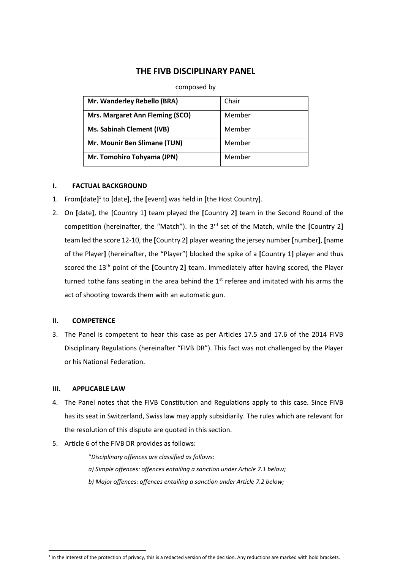# **THE FIVB DISCIPLINARY PANEL**

#### composed by

| Mr. Wanderley Rebello (BRA)            | Chair  |
|----------------------------------------|--------|
| <b>Mrs. Margaret Ann Fleming (SCO)</b> | Member |
| <b>Ms. Sabinah Clement (IVB)</b>       | Member |
| Mr. Mounir Ben Slimane (TUN)           | Member |
| Mr. Tomohiro Tohyama (JPN)             | Member |

# **I. FACTUAL BACKGROUND**

- 1. From[date]<sup>1</sup> to [date], the [event] was held in [the Host Country].
- 2. On **[**date**]**, the **[**Country 1**]** team played the **[**Country 2**]** team in the Second Round of the competition (hereinafter, the "Match"). In the 3rd set of the Match, while the **[**Country 2**]** team led the score 12-10, the **[**Country 2**]** player wearing the jersey number **[**number**]**, **[**name of the Player**]** (hereinafter, the "Player") blocked the spike of a **[**Country 1**]** player and thus scored the 13th point of the **[**Country 2**]** team. Immediately after having scored, the Player turned tothe fans seating in the area behind the  $1<sup>st</sup>$  referee and imitated with his arms the act of shooting towards them with an automatic gun.

# **II. COMPETENCE**

3. The Panel is competent to hear this case as per Articles 17.5 and 17.6 of the 2014 FIVB Disciplinary Regulations (hereinafter "FIVB DR"). This fact was not challenged by the Player or his National Federation.

# **III. APPLICABLE LAW**

- 4. The Panel notes that the FIVB Constitution and Regulations apply to this case. Since FIVB has its seat in Switzerland, Swiss law may apply subsidiarily. The rules which are relevant for the resolution of this dispute are quoted in this section.
- 5. Article 6 of the FIVB DR provides as follows:

"*Disciplinary offences are classified as follows: a) Simple offences: offences entailing a sanction under Article 7.1 below; b) Major offences: offences entailing a sanction under Article 7.2 below;*

<sup>&</sup>lt;sup>1</sup> In the interest of the protection of privacy, this is a redacted version of the decision. Any reductions are marked with bold brackets.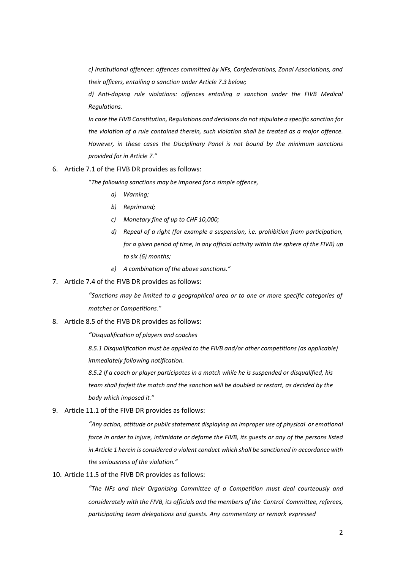*c) Institutional offences: offences committed by NFs, Confederations, Zonal Associations, and their officers, entailing a sanction under Article 7.3 below;*

*d) Anti-doping rule violations: offences entailing a sanction under the FIVB Medical Regulations.*

*In case the FIVB Constitution, Regulations and decisions do not stipulate a specific sanction for the violation of a rule contained therein, such violation shall be treated as a major offence. However, in these cases the Disciplinary Panel is not bound by the minimum sanctions provided for in Article 7."*

#### 6. Article 7.1 of the FIVB DR provides as follows:

"*The following sanctions may be imposed for a simple offence,*

- *a) Warning;*
- *b) Reprimand;*
- *c) Monetary fine of up to CHF 10,000;*
- *d) Repeal of a right (for example a suspension, i.e. prohibition from participation, for a given period of time, in any official activity within the sphere of the FIVB) up to six (6) months;*
- *e) A combination of the above sanctions."*
- 7. Article 7.4 of the FIVB DR provides as follows:

*"Sanctions may be limited to a geographical area or to one or more specific categories of matches or Competitions."*

8. Article 8.5 of the FIVB DR provides as follows:

*"Disqualification of players and coaches*

*8.5.1 Disqualification must be applied to the FIVB and/or other competitions (as applicable) immediately following notification.*

*8.5.2 If a coach or player participates in a match while he is suspended or disqualified, his team shall forfeit the match and the sanction will be doubled or restart, as decided by the body which imposed it."*

9. Article 11.1 of the FIVB DR provides as follows:

*"Any action, attitude or public statement displaying an improper use of physical or emotional force in order to injure, intimidate or defame the FIVB, its guests or any of the persons listed in Article 1 herein is considered a violent conduct which shall be sanctioned in accordance with the seriousness of the violation."*

#### 10. Article 11.5 of the FIVB DR provides as follows:

*"The NFs and their Organising Committee of a Competition must deal courteously and considerately with the FIVB, its officials and the members of the Control Committee, referees, participating team delegations and guests. Any commentary or remark expressed*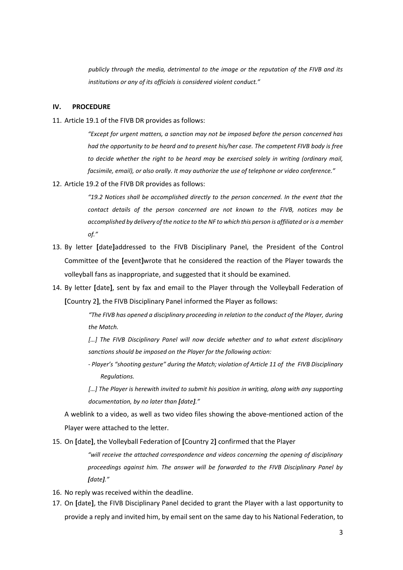*publicly through the media, detrimental to the image or the reputation of the FIVB and its institutions or any of its officials is considered violent conduct."*

#### **IV. PROCEDURE**

11. Article 19.1 of the FIVB DR provides as follows:

*"Except for urgent matters, a sanction may not be imposed before the person concerned has had the opportunity to be heard and to present his/her case. The competent FIVB body is free to decide whether the right to be heard may be exercised solely in writing (ordinary mail, facsimile, email), or also orally. It may authorize the use of telephone or video conference."*

12. Article 19.2 of the FIVB DR provides as follows:

*"19.2 Notices shall be accomplished directly to the person concerned. In the event that the contact details of the person concerned are not known to the FIVB, notices may be accomplished by delivery of the notice to the NF to which this person is affiliated or is a member of."*

- 13. By letter **[**date**]**addressed to the FIVB Disciplinary Panel, the President of the Control Committee of the **[**event**]**wrote that he considered the reaction of the Player towards the volleyball fans as inappropriate, and suggested that it should be examined.
- 14. By letter **[**date**]**, sent by fax and email to the Player through the Volleyball Federation of **[**Country 2**]**, the FIVB Disciplinary Panel informed the Player as follows:

*"The FIVB has opened a disciplinary proceeding in relation to the conduct of the Player, during the Match.*

*[…] The FIVB Disciplinary Panel will now decide whether and to what extent disciplinary sanctions should be imposed on the Player for the following action:*

- *Player's "shooting gesture" during the Match; violation of Article 11 of the FIVB Disciplinary Regulations.*

[...] The Player is herewith invited to submit his position in writing, along with any supporting *documentation, by no later than [date]."*

A weblink to a video, as well as two video files showing the above-mentioned action of the Player were attached to the letter.

15. On **[**date**]**, the Volleyball Federation of **[**Country 2**]** confirmed that the Player

*"will receive the attached correspondence and videos concerning the opening of disciplinary proceedings against him. The answer will be forwarded to the FIVB Disciplinary Panel by [date]."*

- 16. No reply was received within the deadline.
- 17. On **[**date**]**, the FIVB Disciplinary Panel decided to grant the Player with a last opportunity to provide a reply and invited him, by email sent on the same day to his National Federation, to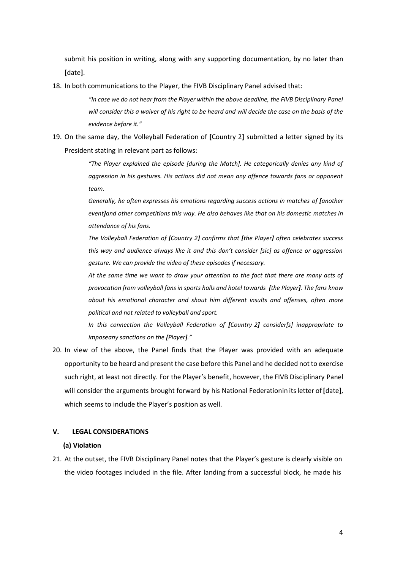submit his position in writing, along with any supporting documentation, by no later than **[**date**]**.

18. In both communications to the Player, the FIVB Disciplinary Panel advised that:

*"In case we do not hear from the Player within the above deadline, the FIVB Disciplinary Panel will consider this a waiver of his right to be heard and will decide the case on the basis of the evidence before it."*

19. On the same day, the Volleyball Federation of **[**Country 2**]** submitted a letter signed by its President stating in relevant part as follows:

> *"The Player explained the episode [during the Match]. He categorically denies any kind of aggression in his gestures. His actions did not mean any offence towards fans or opponent team.*

> *Generally, he often expresses his emotions regarding success actions in matches of <i>[another event]and other competitions this way. He also behaves like that on his domestic matches in attendance of his fans.*

> *The Volleyball Federation of [Country 2] confirms that [the Player] often celebrates success this way and audience always like it and this don't consider [sic] as offence or aggression gesture. We can provide the video of these episodes if necessary.*

> *At the same time we want to draw your attention to the fact that there are many acts of provocation from volleyball fans in sports halls and hotel towards [the Player]. The fans know about his emotional character and shout him different insults and offenses, often more political and not related to volleyball and sport.*

> *In this connection the Volleyball Federation of [Country 2] consider[s] inappropriate to imposeany sanctions on the [Player]."*

20. In view of the above, the Panel finds that the Player was provided with an adequate opportunity to be heard and present the case before this Panel and he decided not to exercise such right, at least not directly. For the Player's benefit, however, the FIVB Disciplinary Panel will consider the arguments brought forward by his National Federationin itsletter of**[**date**]**, which seems to include the Player's position as well.

# **V. LEGAL CONSIDERATIONS**

#### **(a) Violation**

21. At the outset, the FIVB Disciplinary Panel notes that the Player's gesture is clearly visible on the video footages included in the file. After landing from a successful block, he made his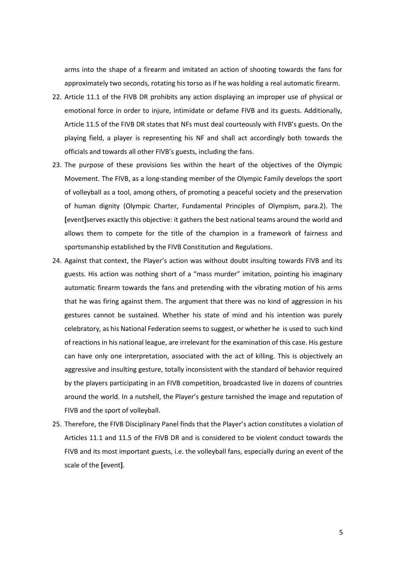arms into the shape of a firearm and imitated an action of shooting towards the fans for approximately two seconds, rotating his torso as if he was holding a real automatic firearm.

- 22. Article 11.1 of the FIVB DR prohibits any action displaying an improper use of physical or emotional force in order to injure, intimidate or defame FIVB and its guests. Additionally, Article 11.5 of the FIVB DR states that NFs must deal courteously with FIVB's guests. On the playing field, a player is representing his NF and shall act accordingly both towards the officials and towards all other FIVB's guests, including the fans.
- 23. The purpose of these provisions lies within the heart of the objectives of the Olympic Movement. The FIVB, as a long-standing member of the Olympic Family develops the sport of volleyball as a tool, among others, of promoting a peaceful society and the preservation of human dignity (Olympic Charter, Fundamental Principles of Olympism, para.2). The **[**event**]**serves exactly this objective: it gathers the best national teams around the world and allows them to compete for the title of the champion in a framework of fairness and sportsmanship established by the FIVB Constitution and Regulations.
- 24. Against that context, the Player's action was without doubt insulting towards FIVB and its guests. His action was nothing short of a "mass murder" imitation, pointing his imaginary automatic firearm towards the fans and pretending with the vibrating motion of his arms that he was firing against them. The argument that there was no kind of aggression in his gestures cannot be sustained. Whether his state of mind and his intention was purely celebratory, as his National Federation seems to suggest, or whether he is used to such kind of reactions in his national league, are irrelevant for the examination of this case. His gesture can have only one interpretation, associated with the act of killing. This is objectively an aggressive and insulting gesture, totally inconsistent with the standard of behavior required by the players participating in an FIVB competition, broadcasted live in dozens of countries around the world. In a nutshell, the Player's gesture tarnished the image and reputation of FIVB and the sport of volleyball.
- 25. Therefore, the FIVB Disciplinary Panel finds that the Player's action constitutes a violation of Articles 11.1 and 11.5 of the FIVB DR and is considered to be violent conduct towards the FIVB and its most important guests, i.e. the volleyball fans, especially during an event of the scale of the **[**event**]**.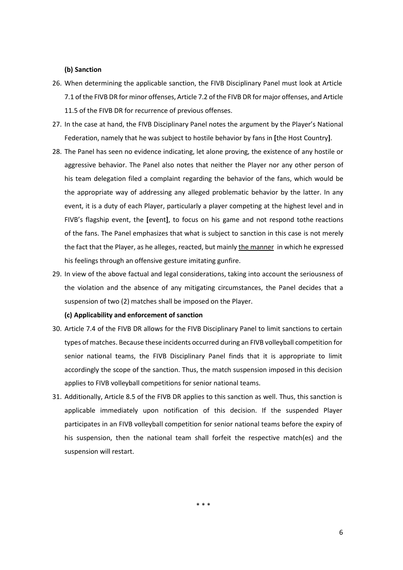#### **(b) Sanction**

- 26. When determining the applicable sanction, the FIVB Disciplinary Panel must look at Article 7.1 of the FIVB DR for minor offenses, Article 7.2 of the FIVB DR for major offenses, and Article 11.5 of the FIVB DR for recurrence of previous offenses.
- 27. In the case at hand, the FIVB Disciplinary Panel notes the argument by the Player's National Federation, namely that he was subject to hostile behavior by fans in **[**the Host Country**]**.
- 28. The Panel has seen no evidence indicating, let alone proving, the existence of any hostile or aggressive behavior. The Panel also notes that neither the Player nor any other person of his team delegation filed a complaint regarding the behavior of the fans, which would be the appropriate way of addressing any alleged problematic behavior by the latter. In any event, it is a duty of each Player, particularly a player competing at the highest level and in FIVB's flagship event, the **[**event**]**, to focus on his game and not respond tothe reactions of the fans. The Panel emphasizes that what is subject to sanction in this case is not merely the fact that the Player, as he alleges, reacted, but mainly the manner in which he expressed his feelings through an offensive gesture imitating gunfire.
- 29. In view of the above factual and legal considerations, taking into account the seriousness of the violation and the absence of any mitigating circumstances, the Panel decides that a suspension of two (2) matches shall be imposed on the Player.

#### **(c) Applicability and enforcement of sanction**

- 30. Article 7.4 of the FIVB DR allows for the FIVB Disciplinary Panel to limit sanctions to certain types of matches. Because these incidents occurred during an FIVB volleyball competition for senior national teams, the FIVB Disciplinary Panel finds that it is appropriate to limit accordingly the scope of the sanction. Thus, the match suspension imposed in this decision applies to FIVB volleyball competitions for senior national teams.
- 31. Additionally, Article 8.5 of the FIVB DR applies to this sanction as well. Thus, this sanction is applicable immediately upon notification of this decision. If the suspended Player participates in an FIVB volleyball competition for senior national teams before the expiry of his suspension, then the national team shall forfeit the respective match(es) and the suspension will restart.

\* \* \*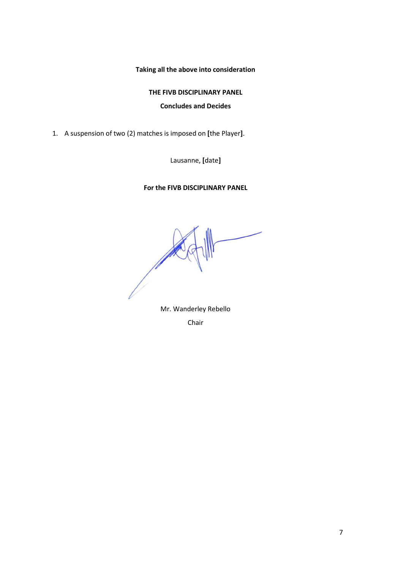**Taking all the above into consideration**

**THE FIVB DISCIPLINARY PANEL**

**Concludes and Decides**

1. A suspension of two (2) matches is imposed on **[**the Player**]**.

Lausanne, **[**date**]**

# **For the FIVB DISCIPLINARY PANEL**

Mr. Wanderley Rebello Chair